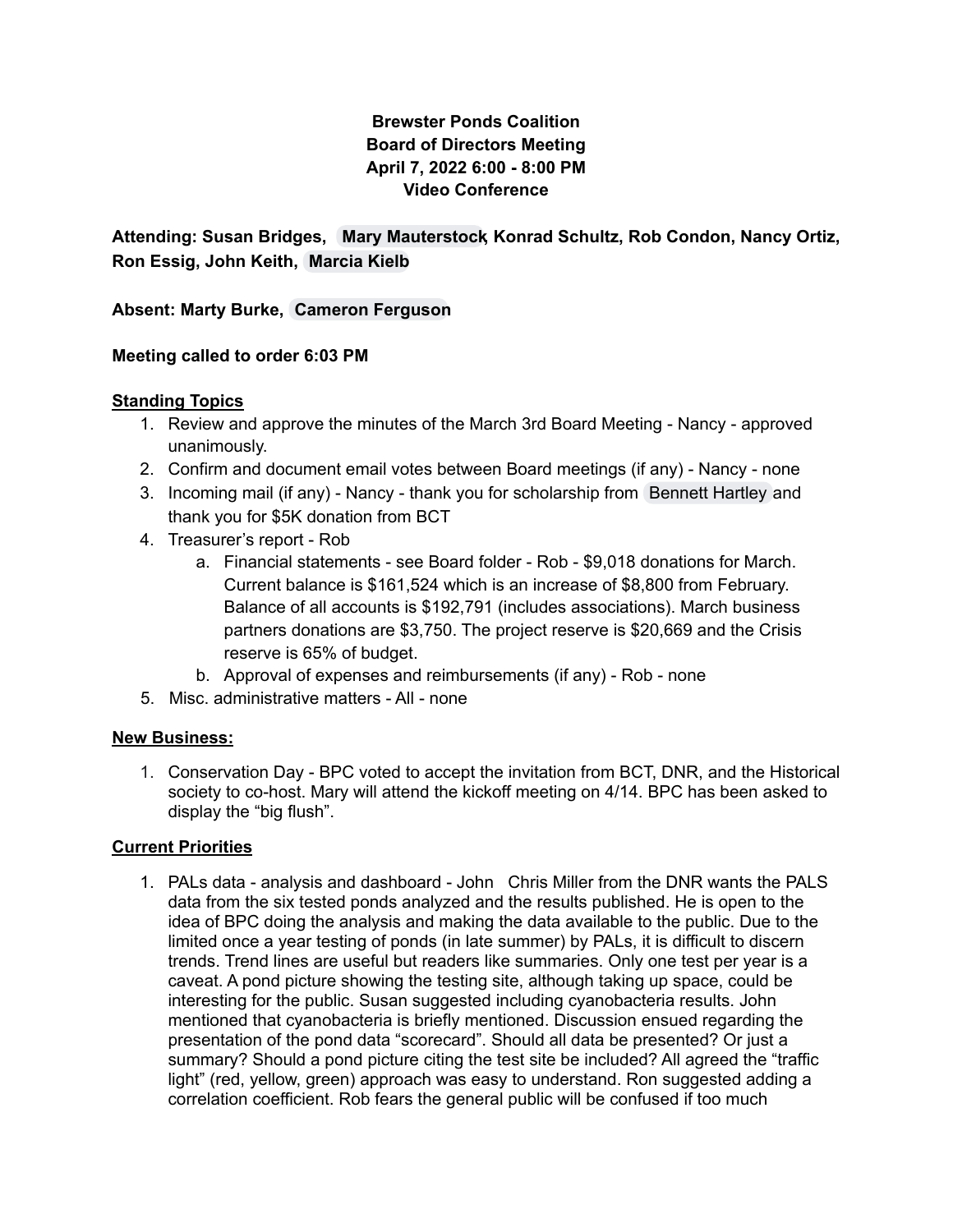# **Brewster Ponds Coalition Board of Directors Meeting April 7, 2022 6:00 - 8:00 PM Video Conference**

**Attending: Susan Bridges, Mary [Mauterstock,](mailto:mary.mauterstock@brewsterponds.org) Konrad Schultz, Rob Condon, Nancy Ortiz, Ron Essig, John Keith, [Marcia](mailto:marcia.kielb@brewsterponds.org) Kielb**

**Absent: Marty Burke, Cameron [Ferguson](mailto:cameron.ferguson@brewsterponds.org)**

## **Meeting called to order 6:03 PM**

### **Standing Topics**

- 1. Review and approve the minutes of the March 3rd Board Meeting Nancy approved unanimously.
- 2. Confirm and document email votes between Board meetings (if any) Nancy none
- 3. Incoming mail (if any) Nancy thank you for scholarship from [Bennett](mailto:bennett.hartley@brewsterponds.org) Hartley and thank you for \$5K donation from BCT
- 4. Treasurer's report Rob
	- a. Financial statements see Board folder Rob \$9,018 donations for March. Current balance is \$161,524 which is an increase of \$8,800 from February. Balance of all accounts is \$192,791 (includes associations). March business partners donations are \$3,750. The project reserve is \$20,669 and the Crisis reserve is 65% of budget.
	- b. Approval of expenses and reimbursements (if any) Rob none
- 5. Misc. administrative matters All none

#### **New Business:**

1. Conservation Day - BPC voted to accept the invitation from BCT, DNR, and the Historical society to co-host. Mary will attend the kickoff meeting on 4/14. BPC has been asked to display the "big flush".

## **Current Priorities**

1. PALs data - analysis and dashboard - John Chris Miller from the DNR wants the PALS data from the six tested ponds analyzed and the results published. He is open to the idea of BPC doing the analysis and making the data available to the public. Due to the limited once a year testing of ponds (in late summer) by PALs, it is difficult to discern trends. Trend lines are useful but readers like summaries. Only one test per year is a caveat. A pond picture showing the testing site, although taking up space, could be interesting for the public. Susan suggested including cyanobacteria results. John mentioned that cyanobacteria is briefly mentioned. Discussion ensued regarding the presentation of the pond data "scorecard". Should all data be presented? Or just a summary? Should a pond picture citing the test site be included? All agreed the "traffic light" (red, yellow, green) approach was easy to understand. Ron suggested adding a correlation coefficient. Rob fears the general public will be confused if too much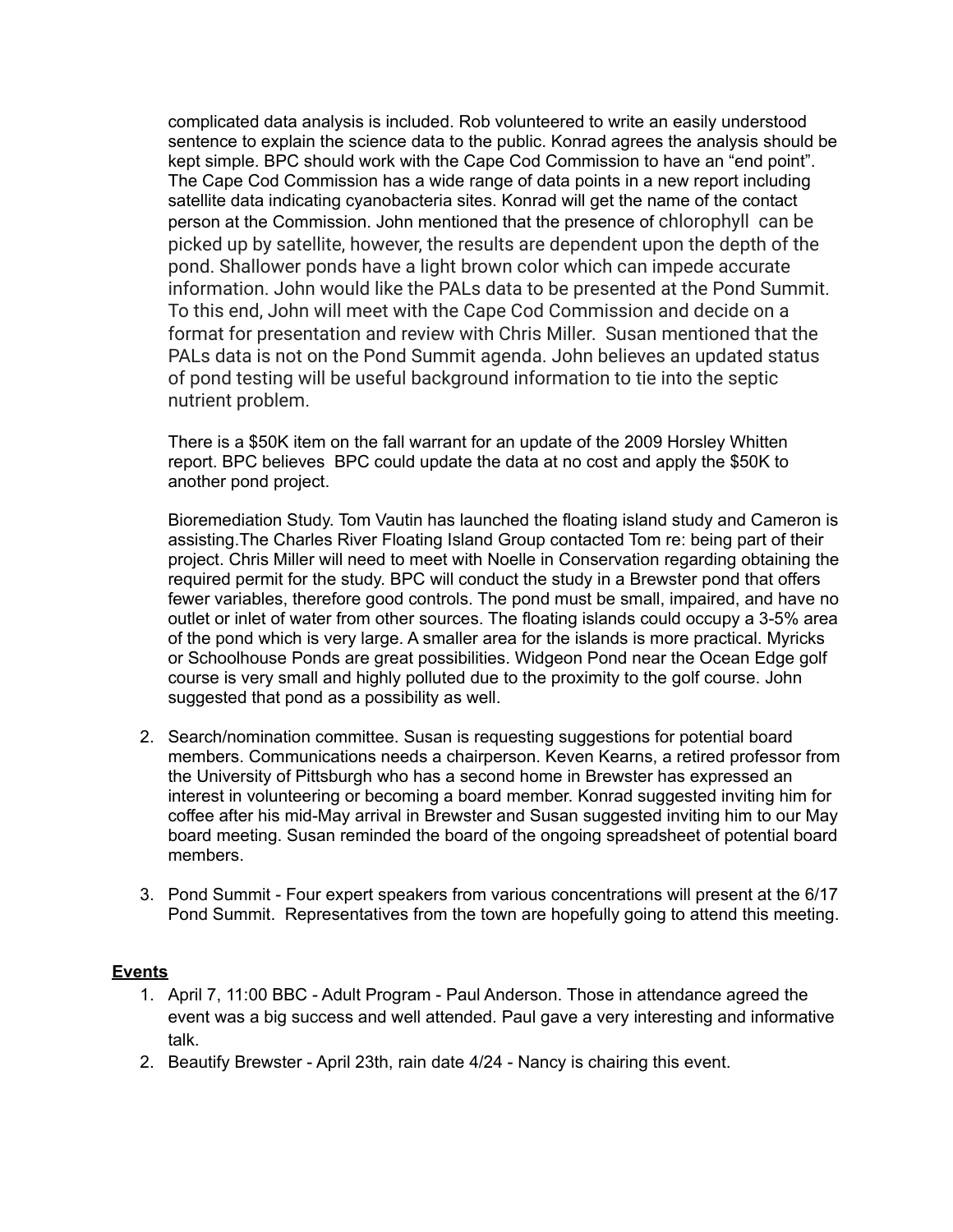complicated data analysis is included. Rob volunteered to write an easily understood sentence to explain the science data to the public. Konrad agrees the analysis should be kept simple. BPC should work with the Cape Cod Commission to have an "end point". The Cape Cod Commission has a wide range of data points in a new report including satellite data indicating cyanobacteria sites. Konrad will get the name of the contact person at the Commission. John mentioned that the presence of chlorophyll can be picked up by satellite, however, the results are dependent upon the depth of the pond. Shallower ponds have a light brown color which can impede accurate information. John would like the PALs data to be presented at the Pond Summit. To this end, John will meet with the Cape Cod Commission and decide on a format for presentation and review with Chris Miller. Susan mentioned that the PALs data is not on the Pond Summit agenda. John believes an updated status of pond testing will be useful background information to tie into the septic nutrient problem.

There is a \$50K item on the fall warrant for an update of the 2009 Horsley Whitten report. BPC believes BPC could update the data at no cost and apply the \$50K to another pond project.

Bioremediation Study. Tom Vautin has launched the floating island study and Cameron is assisting.The Charles River Floating Island Group contacted Tom re: being part of their project. Chris Miller will need to meet with Noelle in Conservation regarding obtaining the required permit for the study. BPC will conduct the study in a Brewster pond that offers fewer variables, therefore good controls. The pond must be small, impaired, and have no outlet or inlet of water from other sources. The floating islands could occupy a 3-5% area of the pond which is very large. A smaller area for the islands is more practical. Myricks or Schoolhouse Ponds are great possibilities. Widgeon Pond near the Ocean Edge golf course is very small and highly polluted due to the proximity to the golf course. John suggested that pond as a possibility as well.

- 2. Search/nomination committee. Susan is requesting suggestions for potential board members. Communications needs a chairperson. Keven Kearns, a retired professor from the University of Pittsburgh who has a second home in Brewster has expressed an interest in volunteering or becoming a board member. Konrad suggested inviting him for coffee after his mid-May arrival in Brewster and Susan suggested inviting him to our May board meeting. Susan reminded the board of the ongoing spreadsheet of potential board members.
- 3. Pond Summit Four expert speakers from various concentrations will present at the 6/17 Pond Summit. Representatives from the town are hopefully going to attend this meeting.

#### **Events**

- 1. April 7, 11:00 BBC Adult Program Paul Anderson. Those in attendance agreed the event was a big success and well attended. Paul gave a very interesting and informative talk.
- 2. Beautify Brewster April 23th, rain date 4/24 Nancy is chairing this event.